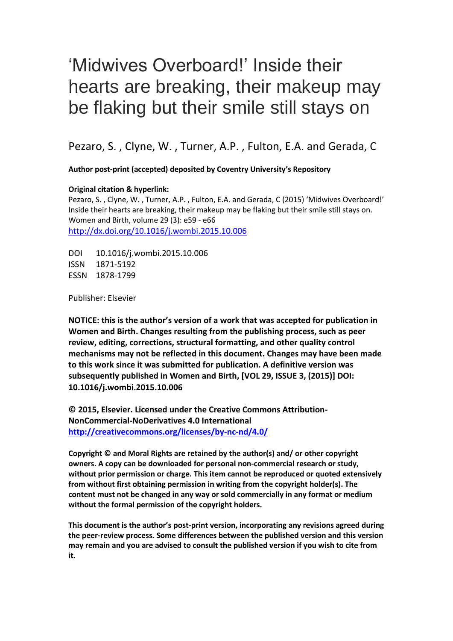# 'Midwives Overboard!' Inside their hearts are breaking, their makeup may be flaking but their smile still stays on

Pezaro, S. , Clyne, W. , Turner, A.P. , Fulton, E.A. and Gerada, C

**Author post-print (accepted) deposited by Coventry University's Repository**

# **Original citation & hyperlink:**

Pezaro, S. , Clyne, W. , Turner, A.P. , Fulton, E.A. and Gerada, C (2015) 'Midwives Overboard!' Inside their hearts are breaking, their makeup may be flaking but their smile still stays on. Women and Birth, volume 29 (3): e59 - e66 <http://dx.doi.org/10.1016/j.wombi.2015.10.006>

DOI 10.1016/j.wombi.2015.10.006 ISSN 1871-5192 ESSN 1878-1799

Publisher: Elsevier

**NOTICE: this is the author's version of a work that was accepted for publication in Women and Birth. Changes resulting from the publishing process, such as peer review, editing, corrections, structural formatting, and other quality control mechanisms may not be reflected in this document. Changes may have been made to this work since it was submitted for publication. A definitive version was subsequently published in Women and Birth, [VOL 29, ISSUE 3, (2015)] DOI: 10.1016/j.wombi.2015.10.006**

**© 2015, Elsevier. Licensed under the Creative Commons Attribution-NonCommercial-NoDerivatives 4.0 International <http://creativecommons.org/licenses/by-nc-nd/4.0/>**

**Copyright © and Moral Rights are retained by the author(s) and/ or other copyright owners. A copy can be downloaded for personal non-commercial research or study, without prior permission or charge. This item cannot be reproduced or quoted extensively from without first obtaining permission in writing from the copyright holder(s). The content must not be changed in any way or sold commercially in any format or medium without the formal permission of the copyright holders.** 

**This document is the author's post-print version, incorporating any revisions agreed during the peer-review process. Some differences between the published version and this version may remain and you are advised to consult the published version if you wish to cite from it.**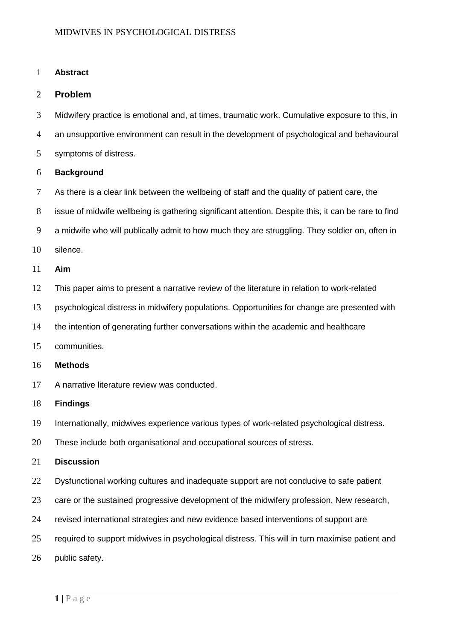# **Abstract**

# **Problem**

- Midwifery practice is emotional and, at times, traumatic work. Cumulative exposure to this, in
- an unsupportive environment can result in the development of psychological and behavioural
- symptoms of distress.

# **Background**

- 7 As there is a clear link between the wellbeing of staff and the quality of patient care, the
- issue of midwife wellbeing is gathering significant attention. Despite this, it can be rare to find
- a midwife who will publically admit to how much they are struggling. They soldier on, often in
- silence.
- **Aim**
- This paper aims to present a narrative review of the literature in relation to work-related
- psychological distress in midwifery populations. Opportunities for change are presented with
- the intention of generating further conversations within the academic and healthcare
- communities.

# **Methods**

A narrative literature review was conducted.

# **Findings**

- Internationally, midwives experience various types of work-related psychological distress.
- These include both organisational and occupational sources of stress.

# **Discussion**

- Dysfunctional working cultures and inadequate support are not conducive to safe patient
- care or the sustained progressive development of the midwifery profession. New research,
- revised international strategies and new evidence based interventions of support are
- required to support midwives in psychological distress. This will in turn maximise patient and
- public safety.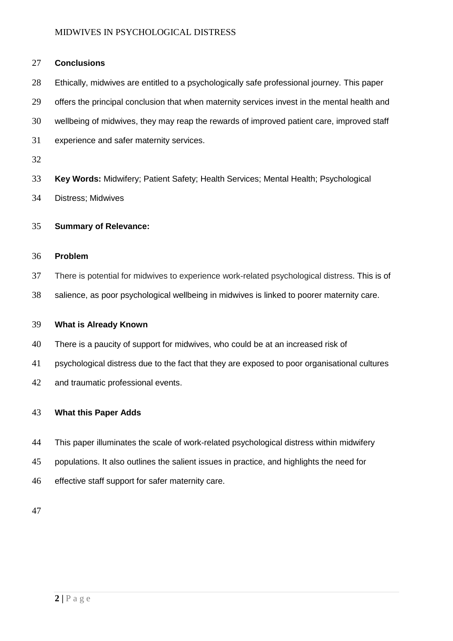# **Conclusions**

- Ethically, midwives are entitled to a psychologically safe professional journey. This paper
- 29 offers the principal conclusion that when maternity services invest in the mental health and
- wellbeing of midwives, they may reap the rewards of improved patient care, improved staff
- experience and safer maternity services.
- 
- **Key Words:** Midwifery; Patient Safety; Health Services; Mental Health; Psychological
- Distress; Midwives

# **Summary of Relevance:**

# **Problem**

- There is potential for midwives to experience work-related psychological distress. This is of
- salience, as poor psychological wellbeing in midwives is linked to poorer maternity care.

# **What is Already Known**

- There is a paucity of support for midwives, who could be at an increased risk of
- psychological distress due to the fact that they are exposed to poor organisational cultures
- and traumatic professional events.

# **What this Paper Adds**

- This paper illuminates the scale of work-related psychological distress within midwifery
- populations. It also outlines the salient issues in practice, and highlights the need for
- effective staff support for safer maternity care.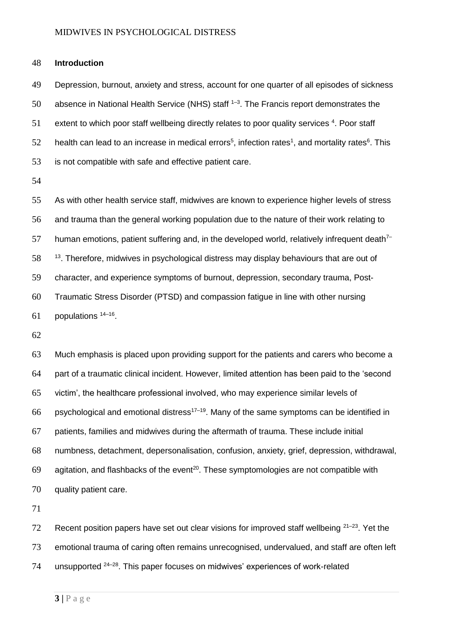# **Introduction**

 Depression, burnout, anxiety and stress, account for one quarter of all episodes of sickness 50 absence in National Health Service (NHS) staff  $1-3$ . The Francis report demonstrates the extent to which poor staff wellbeing directly relates to poor quality services  $4$ . Poor staff 52 health can lead to an increase in medical errors<sup>5</sup>, infection rates<sup>1</sup>, and mortality rates<sup>6</sup>. This is not compatible with safe and effective patient care.

 As with other health service staff, midwives are known to experience higher levels of stress and trauma than the general working population due to the nature of their work relating to human emotions, patient suffering and, in the developed world, relatively infrequent death<sup>7–</sup> 58 <sup>13</sup>. Therefore, midwives in psychological distress may display behaviours that are out of character, and experience symptoms of burnout, depression, secondary trauma, Post- Traumatic Stress Disorder (PTSD) and compassion fatigue in line with other nursing populations  $14-16$ .

 Much emphasis is placed upon providing support for the patients and carers who become a part of a traumatic clinical incident. However, limited attention has been paid to the 'second victim', the healthcare professional involved, who may experience similar levels of 66 psychological and emotional distress<sup>17–19</sup>. Many of the same symptoms can be identified in patients, families and midwives during the aftermath of trauma. These include initial numbness, detachment, depersonalisation, confusion, anxiety, grief, depression, withdrawal, 69 agitation, and flashbacks of the event<sup>20</sup>. These symptomologies are not compatible with quality patient care.

72 Recent position papers have set out clear visions for improved staff wellbeing  $21-23$ . Yet the emotional trauma of caring often remains unrecognised, undervalued, and staff are often left 74 unsupported  $24-28$ . This paper focuses on midwives' experiences of work-related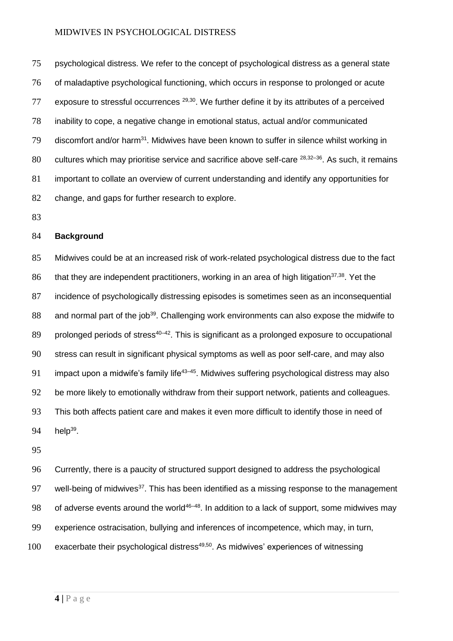psychological distress. We refer to the concept of psychological distress as a general state of maladaptive psychological functioning, which occurs in response to prolonged or acute 77 exposure to stressful occurrences  $29,30$ . We further define it by its attributes of a perceived inability to cope, a negative change in emotional status, actual and/or communicated 79 discomfort and/or harm<sup>31</sup>. Midwives have been known to suffer in silence whilst working in 80 cultures which may prioritise service and sacrifice above self-care  $28,32-36$ . As such, it remains important to collate an overview of current understanding and identify any opportunities for change, and gaps for further research to explore.

83

# 84 **Background**

85 Midwives could be at an increased risk of work-related psychological distress due to the fact 86 that they are independent practitioners, working in an area of high litigation<sup>37,38</sup>. Yet the 87 incidence of psychologically distressing episodes is sometimes seen as an inconsequential 88 and normal part of the job<sup>39</sup>. Challenging work environments can also expose the midwife to 89 prolonged periods of stress<sup>40–42</sup>. This is significant as a prolonged exposure to occupational 90 stress can result in significant physical symptoms as well as poor self-care, and may also 91 impact upon a midwife's family life<sup>43–45</sup>. Midwives suffering psychological distress may also 92 be more likely to emotionally withdraw from their support network, patients and colleagues. 93 This both affects patient care and makes it even more difficult to identify those in need of 94  $hein^{39}$ .

95

96 Currently, there is a paucity of structured support designed to address the psychological 97 well-being of midwives<sup>37</sup>. This has been identified as a missing response to the management 98 of adverse events around the world<sup>46-48</sup>. In addition to a lack of support, some midwives may 99 experience ostracisation, bullying and inferences of incompetence, which may, in turn,  $100$  exacerbate their psychological distress<sup>49,50</sup>. As midwives' experiences of witnessing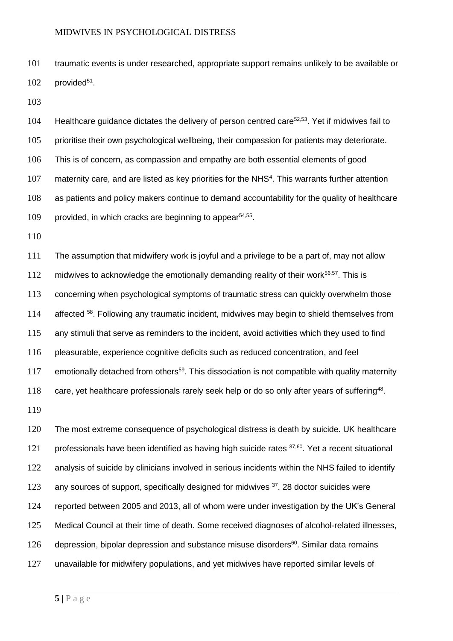traumatic events is under researched, appropriate support remains unlikely to be available or provided<sup>51</sup>.

104 Healthcare guidance dictates the delivery of person centred care<sup>52,53</sup>. Yet if midwives fail to prioritise their own psychological wellbeing, their compassion for patients may deteriorate. This is of concern, as compassion and empathy are both essential elements of good 107 maternity care, and are listed as key priorities for the NHS<sup>4</sup>. This warrants further attention as patients and policy makers continue to demand accountability for the quality of healthcare 109 provided, in which cracks are beginning to appear<sup>54,55</sup>.

 The assumption that midwifery work is joyful and a privilege to be a part of, may not allow 112 midwives to acknowledge the emotionally demanding reality of their work<sup>56,57</sup>. This is concerning when psychological symptoms of traumatic stress can quickly overwhelm those 114 affected <sup>58</sup>. Following any traumatic incident, midwives may begin to shield themselves from any stimuli that serve as reminders to the incident, avoid activities which they used to find pleasurable, experience cognitive deficits such as reduced concentration, and feel 117 emotionally detached from others<sup>59</sup>. This dissociation is not compatible with quality maternity 118 care, yet healthcare professionals rarely seek help or do so only after years of suffering<sup>48</sup>.

 The most extreme consequence of psychological distress is death by suicide. UK healthcare 121 professionals have been identified as having high suicide rates  $37,60$ . Yet a recent situational 122 analysis of suicide by clinicians involved in serious incidents within the NHS failed to identify 123 any sources of support, specifically designed for midwives . 28 doctor suicides were reported between 2005 and 2013, all of whom were under investigation by the UK's General Medical Council at their time of death. Some received diagnoses of alcohol-related illnesses, depression, bipolar depression and substance misuse disorders<sup>60</sup>. Similar data remains unavailable for midwifery populations, and yet midwives have reported similar levels of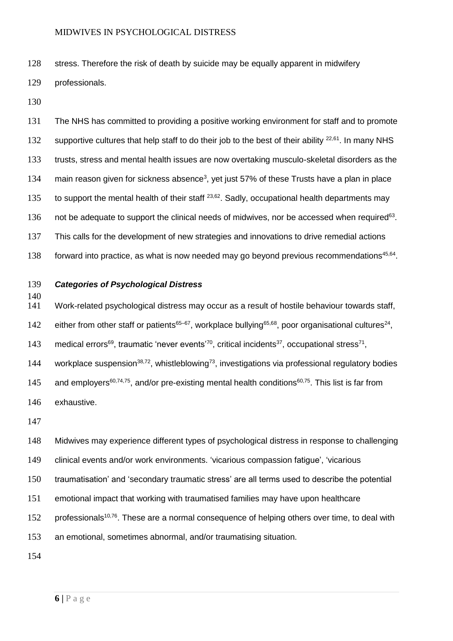128 stress. Therefore the risk of death by suicide may be equally apparent in midwifery

129 professionals.

130

131 The NHS has committed to providing a positive working environment for staff and to promote 132 supportive cultures that help staff to do their job to the best of their ability  $22,61$ . In many NHS 133 trusts, stress and mental health issues are now overtaking musculo-skeletal disorders as the 134 main reason given for sickness absence<sup>3</sup>, yet just 57% of these Trusts have a plan in place 135 to support the mental health of their staff  $^{23,62}$ . Sadly, occupational health departments may 136 not be adequate to support the clinical needs of midwives, nor be accessed when required<sup>63</sup>. 137 This calls for the development of new strategies and innovations to drive remedial actions 138 forward into practice, as what is now needed may go beyond previous recommendations<sup>45,64</sup>.

139 *Categories of Psychological Distress*

140

141 Work-related psychological distress may occur as a result of hostile behaviour towards staff,

142 either from other staff or patients<sup>65–67</sup>, workplace bullying<sup>65,68</sup>, poor organisational cultures<sup>24</sup>,

143 medical errors<sup>69</sup>, traumatic 'never events<sup>'70</sup>, critical incidents<sup>37</sup>, occupational stress<sup>71</sup>,

144 workplace suspension<sup>38,72</sup>, whistleblowing<sup>73</sup>, investigations via professional regulatory bodies

145 and employers<sup>60,74,75</sup>, and/or pre-existing mental health conditions<sup>60,75</sup>. This list is far from

146 exhaustive.

147

148 Midwives may experience different types of psychological distress in response to challenging

149 clinical events and/or work environments. 'vicarious compassion fatigue', 'vicarious

150 traumatisation' and 'secondary traumatic stress' are all terms used to describe the potential

151 emotional impact that working with traumatised families may have upon healthcare

152 professionals<sup>10,76</sup>. These are a normal consequence of helping others over time, to deal with

153 an emotional, sometimes abnormal, and/or traumatising situation.

154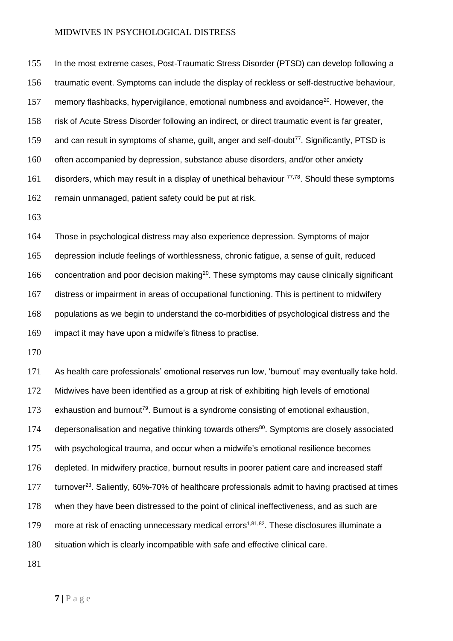In the most extreme cases, Post-Traumatic Stress Disorder (PTSD) can develop following a traumatic event. Symptoms can include the display of reckless or self-destructive behaviour, 157 memory flashbacks, hypervigilance, emotional numbness and avoidance<sup>20</sup>. However, the risk of Acute Stress Disorder following an indirect, or direct traumatic event is far greater, 159 and can result in symptoms of shame, quilt, anger and self-doubt<sup>77</sup>. Significantly, PTSD is often accompanied by depression, substance abuse disorders, and/or other anxiety 161 disorders, which may result in a display of unethical behaviour  $77,78$ . Should these symptoms remain unmanaged, patient safety could be put at risk.

 Those in psychological distress may also experience depression. Symptoms of major depression include feelings of worthlessness, chronic fatigue, a sense of guilt, reduced 166 concentration and poor decision making<sup>20</sup>. These symptoms may cause clinically significant distress or impairment in areas of occupational functioning. This is pertinent to midwifery populations as we begin to understand the co-morbidities of psychological distress and the impact it may have upon a midwife's fitness to practise.

 As health care professionals' emotional reserves run low, 'burnout' may eventually take hold. Midwives have been identified as a group at risk of exhibiting high levels of emotional 173 exhaustion and burnout<sup>79</sup>. Burnout is a syndrome consisting of emotional exhaustion, 174 depersonalisation and negative thinking towards others<sup>80</sup>. Symptoms are closely associated with psychological trauma, and occur when a midwife's emotional resilience becomes depleted. In midwifery practice, burnout results in poorer patient care and increased staff 177 turnover<sup>23</sup>. Saliently, 60%-70% of healthcare professionals admit to having practised at times when they have been distressed to the point of clinical ineffectiveness, and as such are 179 more at risk of enacting unnecessary medical errors<sup>1,81,82</sup>. These disclosures illuminate a situation which is clearly incompatible with safe and effective clinical care.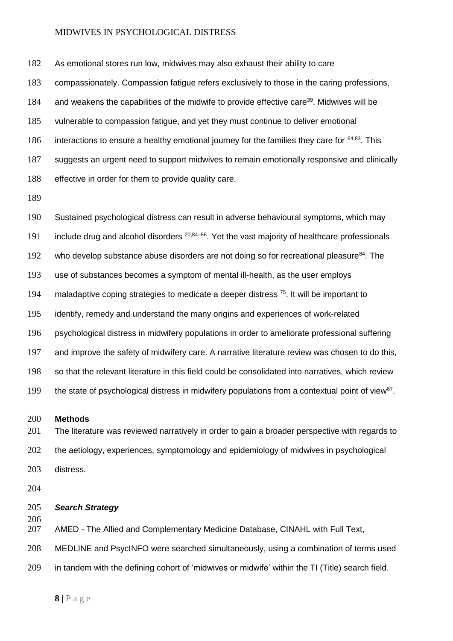As emotional stores run low, midwives may also exhaust their ability to care compassionately. Compassion fatigue refers exclusively to those in the caring professions, 184 and weakens the capabilities of the midwife to provide effective care<sup>39</sup>. Midwives will be vulnerable to compassion fatigue, and yet they must continue to deliver emotional 186 interactions to ensure a healthy emotional journey for the families they care for  $64,83$ . This suggests an urgent need to support midwives to remain emotionally responsive and clinically effective in order for them to provide quality care.

 Sustained psychological distress can result in adverse behavioural symptoms, which may 191 include drug and alcohol disorders  $20,84-86$ . Yet the vast majority of healthcare professionals 192 who develop substance abuse disorders are not doing so for recreational pleasure<sup>84</sup>. The use of substances becomes a symptom of mental ill-health, as the user employs 194 maladaptive coping strategies to medicate a deeper distress . It will be important to identify, remedy and understand the many origins and experiences of work-related psychological distress in midwifery populations in order to ameliorate professional suffering and improve the safety of midwifery care. A narrative literature review was chosen to do this, so that the relevant literature in this field could be consolidated into narratives, which review the state of psychological distress in midwifery populations from a contextual point of view<sup>87</sup>.

#### **Methods**

201 The literature was reviewed narratively in order to gain a broader perspective with regards to the aetiology, experiences, symptomology and epidemiology of midwives in psychological distress.

# *Search Strategy*

AMED - The Allied and Complementary Medicine Database, CINAHL with Full Text,

MEDLINE and PsycINFO were searched simultaneously, using a combination of terms used

in tandem with the defining cohort of 'midwives or midwife' within the TI (Title) search field.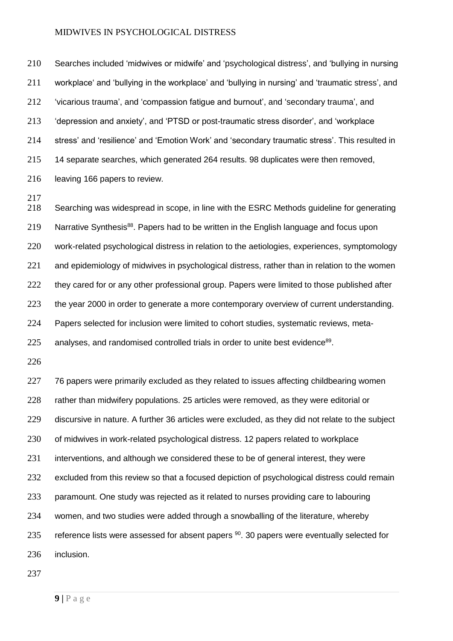Searches included 'midwives or midwife' and 'psychological distress', and 'bullying in nursing workplace' and 'bullying in the workplace' and 'bullying in nursing' and 'traumatic stress', and 'vicarious trauma', and 'compassion fatigue and burnout', and 'secondary trauma', and 'depression and anxiety', and 'PTSD or post-traumatic stress disorder', and 'workplace stress' and 'resilience' and 'Emotion Work' and 'secondary traumatic stress'. This resulted in 14 separate searches, which generated 264 results. 98 duplicates were then removed, leaving 166 papers to review.

 Searching was widespread in scope, in line with the ESRC Methods guideline for generating 219 Narrative Synthesis<sup>88</sup>. Papers had to be written in the English language and focus upon work-related psychological distress in relation to the aetiologies, experiences, symptomology 221 and epidemiology of midwives in psychological distress, rather than in relation to the women 222 they cared for or any other professional group. Papers were limited to those published after 223 the year 2000 in order to generate a more contemporary overview of current understanding. Papers selected for inclusion were limited to cohort studies, systematic reviews, meta-225 analyses, and randomised controlled trials in order to unite best evidence<sup>89</sup>.

227 76 papers were primarily excluded as they related to issues affecting childbearing women 228 rather than midwifery populations. 25 articles were removed, as they were editorial or discursive in nature. A further 36 articles were excluded, as they did not relate to the subject of midwives in work-related psychological distress. 12 papers related to workplace 231 interventions, and although we considered these to be of general interest, they were 232 excluded from this review so that a focused depiction of psychological distress could remain paramount. One study was rejected as it related to nurses providing care to labouring women, and two studies were added through a snowballing of the literature, whereby 235 reference lists were assessed for absent papers . 30 papers were eventually selected for inclusion.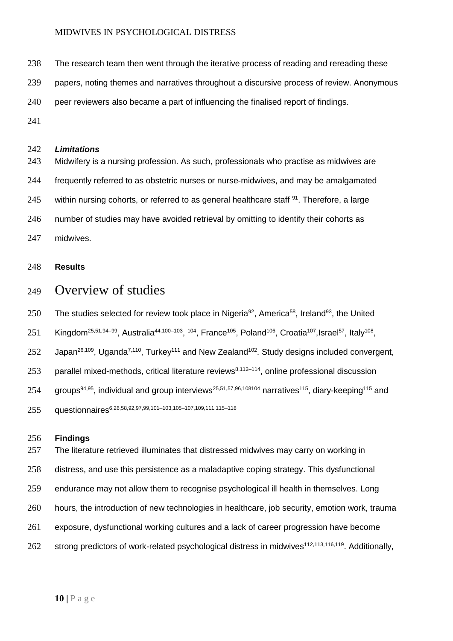- 238 The research team then went through the iterative process of reading and rereading these
- papers, noting themes and narratives throughout a discursive process of review. Anonymous
- peer reviewers also became a part of influencing the finalised report of findings.
- 

# *Limitations*

 Midwifery is a nursing profession. As such, professionals who practise as midwives are frequently referred to as obstetric nurses or nurse-midwives, and may be amalgamated 245 within nursing cohorts, or referred to as general healthcare staff . Therefore, a large 246 number of studies may have avoided retrieval by omitting to identify their cohorts as midwives.

# **Results**

# Overview of studies

250 The studies selected for review took place in Nigeria<sup>92</sup>, America<sup>58</sup>, Ireland<sup>93</sup>, the United

251 Kingdom<sup>25,51,94–99</sup>, Australia<sup>44,100–103</sup>, <sup>104</sup>, France<sup>105</sup>, Poland<sup>106</sup>, Croatia<sup>107</sup>, Israel<sup>57</sup>, Italy<sup>108</sup>,

Japan<sup>26,109</sup>, Uganda<sup>7,110</sup>, Turkey<sup>111</sup> and New Zealand<sup>102</sup>. Study designs included convergent,

253 parallel mixed-methods, critical literature reviews $8,112-114$ , online professional discussion

254 groups<sup>94,95</sup>, individual and group interviews<sup>25,51,57,96,108104</sup> narratives<sup>115</sup>, diary-keeping<sup>115</sup> and

255 auestionnaires<sup>6,26,58,92,97,99,101-103,105-107,109,111,115-118</sup>

# **Findings**

257 The literature retrieved illuminates that distressed midwives may carry on working in distress, and use this persistence as a maladaptive coping strategy. This dysfunctional endurance may not allow them to recognise psychological ill health in themselves. Long hours, the introduction of new technologies in healthcare, job security, emotion work, trauma exposure, dysfunctional working cultures and a lack of career progression have become 262 strong predictors of work-related psychological distress in midwives<sup>112,113,116,119</sup>. Additionally,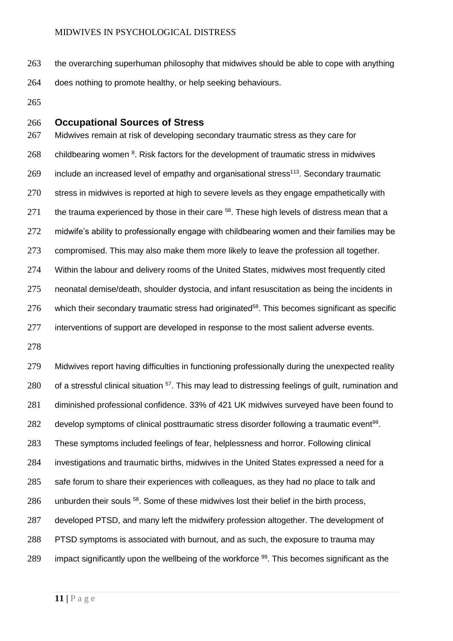- the overarching superhuman philosophy that midwives should be able to cope with anything does nothing to promote healthy, or help seeking behaviours.
- 

# **Occupational Sources of Stress**

 Midwives remain at risk of developing secondary traumatic stress as they care for childbearing women  $8$ . Risk factors for the development of traumatic stress in midwives 269 include an increased level of empathy and organisational stress<sup>113</sup>. Secondary traumatic 270 stress in midwives is reported at high to severe levels as they engage empathetically with 271 the trauma experienced by those in their care . These high levels of distress mean that a 272 midwife's ability to professionally engage with childbearing women and their families may be compromised. This may also make them more likely to leave the profession all together. 274 Within the labour and delivery rooms of the United States, midwives most frequently cited neonatal demise/death, shoulder dystocia, and infant resuscitation as being the incidents in which their secondary traumatic stress had originated<sup>58</sup>. This becomes significant as specific 277 interventions of support are developed in response to the most salient adverse events.

 Midwives report having difficulties in functioning professionally during the unexpected reality 280 of a stressful clinical situation <sup>57</sup>. This may lead to distressing feelings of guilt, rumination and diminished professional confidence. 33% of 421 UK midwives surveyed have been found to 282 develop symptoms of clinical posttraumatic stress disorder following a traumatic event<sup>99</sup>. These symptoms included feelings of fear, helplessness and horror. Following clinical investigations and traumatic births, midwives in the United States expressed a need for a 285 safe forum to share their experiences with colleagues, as they had no place to talk and 286 unburden their souls <sup>58</sup>. Some of these midwives lost their belief in the birth process, 287 developed PTSD, and many left the midwifery profession altogether. The development of PTSD symptoms is associated with burnout, and as such, the exposure to trauma may 289 impact significantly upon the wellbeing of the workforce . This becomes significant as the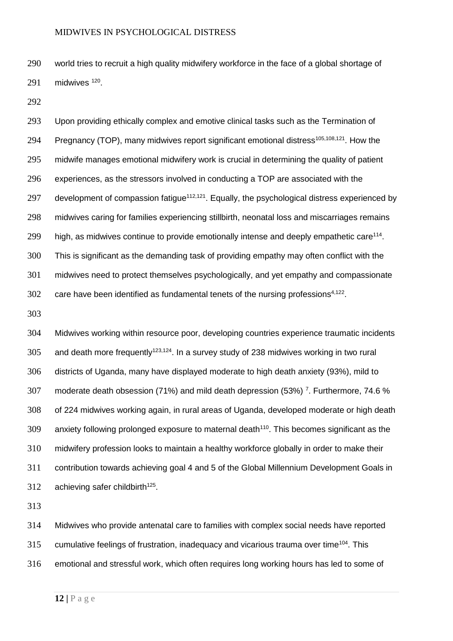world tries to recruit a high quality midwifery workforce in the face of a global shortage of midwives  $120$ .

 Upon providing ethically complex and emotive clinical tasks such as the Termination of 294 Pregnancy (TOP), many midwives report significant emotional distress<sup>105,108,121</sup>. How the midwife manages emotional midwifery work is crucial in determining the quality of patient experiences, as the stressors involved in conducting a TOP are associated with the 297 development of compassion fatigue<sup> $112,121$ </sup>. Equally, the psychological distress experienced by midwives caring for families experiencing stillbirth, neonatal loss and miscarriages remains 299 high, as midwives continue to provide emotionally intense and deeply empathetic care<sup>114</sup>. This is significant as the demanding task of providing empathy may often conflict with the midwives need to protect themselves psychologically, and yet empathy and compassionate 302 care have been identified as fundamental tenets of the nursing professions $4,122$ .

 Midwives working within resource poor, developing countries experience traumatic incidents 305 and death more frequently<sup>123,124</sup>. In a survey study of 238 midwives working in two rural districts of Uganda, many have displayed moderate to high death anxiety (93%), mild to 307 moderate death obsession (71%) and mild death depression (53%)  $^7$ . Furthermore, 74.6 % of 224 midwives working again, in rural areas of Uganda, developed moderate or high death anxiety following prolonged exposure to maternal death<sup>110</sup>. This becomes significant as the midwifery profession looks to maintain a healthy workforce globally in order to make their contribution towards achieving goal 4 and 5 of the Global Millennium Development Goals in 312 achieving safer childbirth<sup>125</sup>.

 Midwives who provide antenatal care to families with complex social needs have reported 315 cumulative feelings of frustration, inadequacy and vicarious trauma over time<sup>104</sup>. This emotional and stressful work, which often requires long working hours has led to some of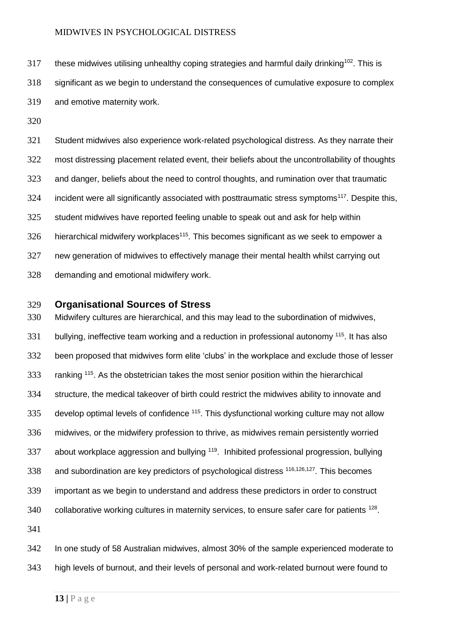these midwives utilising unhealthy coping strategies and harmful daily drinking<sup>102</sup>. This is significant as we begin to understand the consequences of cumulative exposure to complex and emotive maternity work.

 Student midwives also experience work-related psychological distress. As they narrate their most distressing placement related event, their beliefs about the uncontrollability of thoughts and danger, beliefs about the need to control thoughts, and rumination over that traumatic incident were all significantly associated with posttraumatic stress symptoms<sup>117</sup>. Despite this, student midwives have reported feeling unable to speak out and ask for help within hierarchical midwifery workplaces<sup>115</sup>. This becomes significant as we seek to empower a new generation of midwives to effectively manage their mental health whilst carrying out demanding and emotional midwifery work.

# **Organisational Sources of Stress**

 Midwifery cultures are hierarchical, and this may lead to the subordination of midwives, 331 bullying, ineffective team working and a reduction in professional autonomy <sup>115</sup>. It has also been proposed that midwives form elite 'clubs' in the workplace and exclude those of lesser 333 ranking <sup>115</sup>. As the obstetrician takes the most senior position within the hierarchical structure, the medical takeover of birth could restrict the midwives ability to innovate and develop optimal levels of confidence  $115$ . This dysfunctional working culture may not allow midwives, or the midwifery profession to thrive, as midwives remain persistently worried 337 about workplace aggression and bullying <sup>119</sup>. Inhibited professional progression, bullying 338 and subordination are key predictors of psychological distress  $116,126,127$ . This becomes important as we begin to understand and address these predictors in order to construct collaborative working cultures in maternity services, to ensure safer care for patients  $128$ . 

 In one study of 58 Australian midwives, almost 30% of the sample experienced moderate to high levels of burnout, and their levels of personal and work-related burnout were found to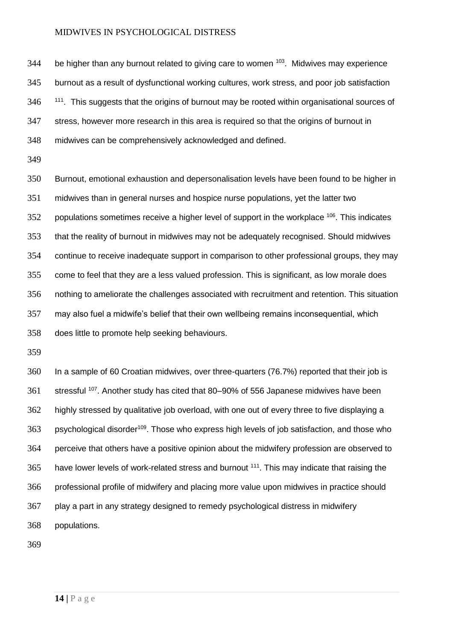be higher than any burnout related to giving care to women  $103$ . Midwives may experience burnout as a result of dysfunctional working cultures, work stress, and poor job satisfaction  $111$ . This suggests that the origins of burnout may be rooted within organisational sources of stress, however more research in this area is required so that the origins of burnout in midwives can be comprehensively acknowledged and defined.

 Burnout, emotional exhaustion and depersonalisation levels have been found to be higher in midwives than in general nurses and hospice nurse populations, yet the latter two populations sometimes receive a higher level of support in the workplace  $106$ . This indicates that the reality of burnout in midwives may not be adequately recognised. Should midwives continue to receive inadequate support in comparison to other professional groups, they may come to feel that they are a less valued profession. This is significant, as low morale does nothing to ameliorate the challenges associated with recruitment and retention. This situation may also fuel a midwife's belief that their own wellbeing remains inconsequential, which does little to promote help seeking behaviours.

 In a sample of 60 Croatian midwives, over three-quarters (76.7%) reported that their job is 361 stressful <sup>107</sup>. Another study has cited that 80–90% of 556 Japanese midwives have been highly stressed by qualitative job overload, with one out of every three to five displaying a 363 . psychological disorder<sup>109</sup>. Those who express high levels of job satisfaction, and those who perceive that others have a positive opinion about the midwifery profession are observed to 365 have lower levels of work-related stress and burnout <sup>111</sup>. This may indicate that raising the professional profile of midwifery and placing more value upon midwives in practice should play a part in any strategy designed to remedy psychological distress in midwifery populations.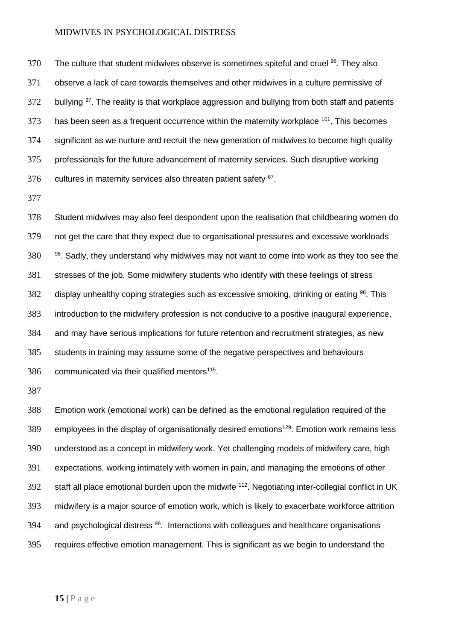The culture that student midwives observe is sometimes spiteful and cruel  $98$ . They also observe a lack of care towards themselves and other midwives in a culture permissive of bullying  $97$ . The reality is that workplace aggression and bullying from both staff and patients 373 has been seen as a frequent occurrence within the maternity workplace . This becomes significant as we nurture and recruit the new generation of midwives to become high quality professionals for the future advancement of maternity services. Such disruptive working cultures in maternity services also threaten patient safety  $67$ .

 Student midwives may also feel despondent upon the realisation that childbearing women do not get the care that they expect due to organisational pressures and excessive workloads  $380$   $380$  sadly, they understand why midwives may not want to come into work as they too see the stresses of the job. Some midwifery students who identify with these feelings of stress display unhealthy coping strategies such as excessive smoking, drinking or eating  $98$ . This introduction to the midwifery profession is not conducive to a positive inaugural experience, and may have serious implications for future retention and recruitment strategies, as new students in training may assume some of the negative perspectives and behaviours 386 communicated via their qualified mentors.

 Emotion work (emotional work) can be defined as the emotional regulation required of the 389 employees in the display of organisationally desired emotions<sup>129</sup>. Emotion work remains less understood as a concept in midwifery work. Yet challenging models of midwifery care, high expectations, working intimately with women in pain, and managing the emotions of other 392 staff all place emotional burden upon the midwife . Negotiating inter-collegial conflict in UK midwifery is a major source of emotion work, which is likely to exacerbate workforce attrition 394 and psychological distress . Interactions with colleagues and healthcare organisations requires effective emotion management. This is significant as we begin to understand the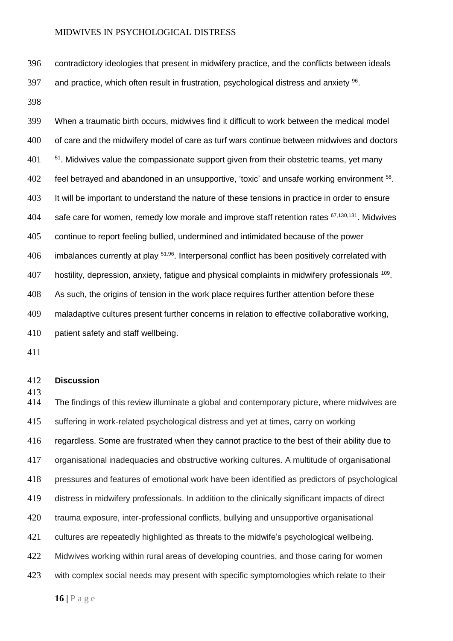contradictory ideologies that present in midwifery practice, and the conflicts between ideals 397 and practice, which often result in frustration, psychological distress and anxiety .

 When a traumatic birth occurs, midwives find it difficult to work between the medical model of care and the midwifery model of care as turf wars continue between midwives and doctors  $51$ . Midwives value the compassionate support given from their obstetric teams, yet many 402 feel betrayed and abandoned in an unsupportive, 'toxic' and unsafe working environment . It will be important to understand the nature of these tensions in practice in order to ensure 404 safe care for women, remedy low morale and improve staff retention rates  $67,130,131$ . Midwives continue to report feeling bullied, undermined and intimidated because of the power imbalances currently at play  $51,96$ . Interpersonal conflict has been positively correlated with 407 hostility, depression, anxiety, fatigue and physical complaints in midwifery professionals <sup>109</sup>. As such, the origins of tension in the work place requires further attention before these maladaptive cultures present further concerns in relation to effective collaborative working, patient safety and staff wellbeing.

# **Discussion**

 The findings of this review illuminate a global and contemporary picture, where midwives are suffering in work-related psychological distress and yet at times, carry on working regardless. Some are frustrated when they cannot practice to the best of their ability due to organisational inadequacies and obstructive working cultures. A multitude of organisational pressures and features of emotional work have been identified as predictors of psychological distress in midwifery professionals. In addition to the clinically significant impacts of direct trauma exposure, inter-professional conflicts, bullying and unsupportive organisational cultures are repeatedly highlighted as threats to the midwife's psychological wellbeing. Midwives working within rural areas of developing countries, and those caring for women 423 with complex social needs may present with specific symptomologies which relate to their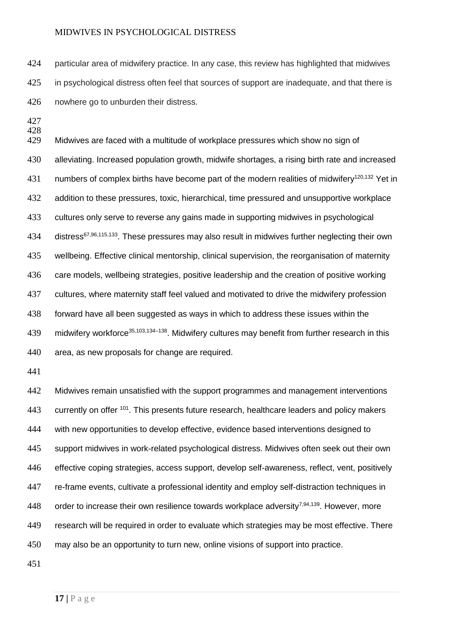particular area of midwifery practice. In any case, this review has highlighted that midwives in psychological distress often feel that sources of support are inadequate, and that there is nowhere go to unburden their distress.

428<br>429 Midwives are faced with a multitude of workplace pressures which show no sign of alleviating. Increased population growth, midwife shortages, a rising birth rate and increased 431 numbers of complex births have become part of the modern realities of midwifery<sup>120,132</sup> Yet in addition to these pressures, toxic, hierarchical, time pressured and unsupportive workplace cultures only serve to reverse any gains made in supporting midwives in psychological 434 distress<sup>67,96,115,133</sup>. These pressures may also result in midwives further neglecting their own wellbeing. Effective clinical mentorship, clinical supervision, the reorganisation of maternity 436 care models, wellbeing strategies, positive leadership and the creation of positive working cultures, where maternity staff feel valued and motivated to drive the midwifery profession forward have all been suggested as ways in which to address these issues within the 439 midwifery workforce<sup>35,103,134–138</sup>. Midwifery cultures may benefit from further research in this area, as new proposals for change are required.

 Midwives remain unsatisfied with the support programmes and management interventions 443 currently on offer <sup>101</sup>. This presents future research, healthcare leaders and policy makers with new opportunities to develop effective, evidence based interventions designed to support midwives in work-related psychological distress. Midwives often seek out their own effective coping strategies, access support, develop self-awareness, reflect, vent, positively re-frame events, cultivate a professional identity and employ self-distraction techniques in 448 order to increase their own resilience towards workplace adversity<sup>7,94,139</sup>. However, more 449 research will be required in order to evaluate which strategies may be most effective. There may also be an opportunity to turn new, online visions of support into practice.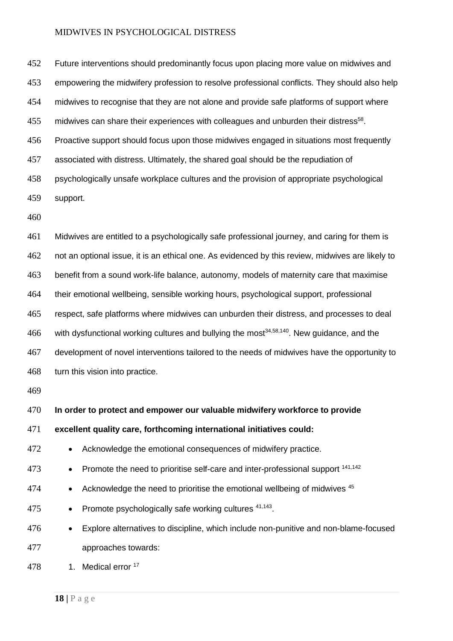Future interventions should predominantly focus upon placing more value on midwives and empowering the midwifery profession to resolve professional conflicts. They should also help midwives to recognise that they are not alone and provide safe platforms of support where 455 midwives can share their experiences with colleagues and unburden their distress<sup>58</sup>. Proactive support should focus upon those midwives engaged in situations most frequently associated with distress. Ultimately, the shared goal should be the repudiation of psychologically unsafe workplace cultures and the provision of appropriate psychological support.

 Midwives are entitled to a psychologically safe professional journey, and caring for them is not an optional issue, it is an ethical one. As evidenced by this review, midwives are likely to benefit from a sound work-life balance, autonomy, models of maternity care that maximise their emotional wellbeing, sensible working hours, psychological support, professional respect, safe platforms where midwives can unburden their distress, and processes to deal 466 with dysfunctional working cultures and bullying the most<sup>34,58,140</sup>. New guidance, and the development of novel interventions tailored to the needs of midwives have the opportunity to turn this vision into practice.

# **In order to protect and empower our valuable midwifery workforce to provide**

# **excellent quality care, forthcoming international initiatives could:**

- 472 Acknowledge the emotional consequences of midwifery practice.
- 473 Promote the need to prioritise self-care and inter-professional support <sup>141,142</sup>
- 474 Acknowledge the need to prioritise the emotional wellbeing of midwives
- 475 Promote psychologically safe working cultures  $41,143$ .
- Explore alternatives to discipline, which include non-punitive and non-blame-focused approaches towards:
- 478 1. Medical error 17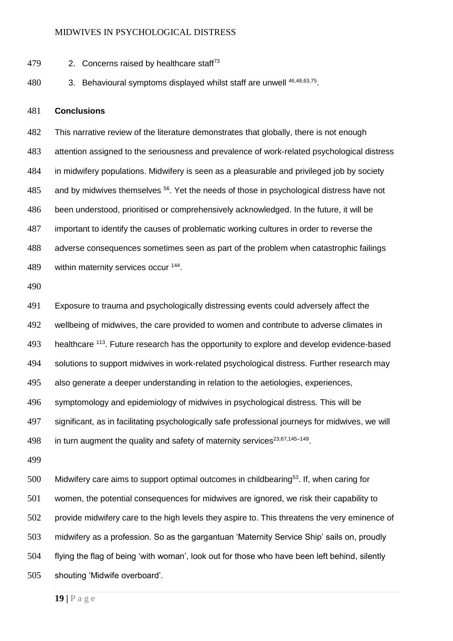- 479  $\mu$  2. Concerns raised by healthcare staff<sup>73</sup>
- 480 3. Behavioural symptoms displayed whilst staff are unwell  $46,48,63,75$ .

#### **Conclusions**

 This narrative review of the literature demonstrates that globally, there is not enough attention assigned to the seriousness and prevalence of work-related psychological distress in midwifery populations. Midwifery is seen as a pleasurable and privileged job by society and by midwives themselves  $56$ . Yet the needs of those in psychological distress have not been understood, prioritised or comprehensively acknowledged. In the future, it will be important to identify the causes of problematic working cultures in order to reverse the adverse consequences sometimes seen as part of the problem when catastrophic failings 489 within maternity services occur<sup>144</sup>.

 Exposure to trauma and psychologically distressing events could adversely affect the wellbeing of midwives, the care provided to women and contribute to adverse climates in 493 healthcare <sup>113</sup>. Future research has the opportunity to explore and develop evidence-based solutions to support midwives in work-related psychological distress. Further research may also generate a deeper understanding in relation to the aetiologies, experiences, symptomology and epidemiology of midwives in psychological distress. This will be significant, as in facilitating psychologically safe professional journeys for midwives, we will 498 in turn augment the quality and safety of maternity services<sup>23,67,145-149</sup>.

 Midwifery care aims to support optimal outcomes in childbearing<sup>53</sup>. If, when caring for women, the potential consequences for midwives are ignored, we risk their capability to provide midwifery care to the high levels they aspire to. This threatens the very eminence of midwifery as a profession. So as the gargantuan 'Maternity Service Ship' sails on, proudly flying the flag of being 'with woman', look out for those who have been left behind, silently shouting 'Midwife overboard'.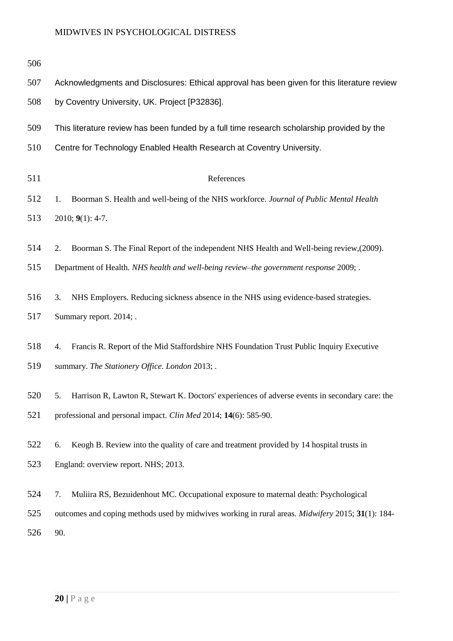| 506 |                                                                                                         |  |  |
|-----|---------------------------------------------------------------------------------------------------------|--|--|
| 507 | Acknowledgments and Disclosures: Ethical approval has been given for this literature review             |  |  |
| 508 | by Coventry University, UK. Project [P32836].                                                           |  |  |
| 509 | This literature review has been funded by a full time research scholarship provided by the              |  |  |
| 510 | Centre for Technology Enabled Health Research at Coventry University.                                   |  |  |
| 511 | References                                                                                              |  |  |
| 512 | Boorman S. Health and well-being of the NHS workforce. Journal of Public Mental Health<br>1.            |  |  |
| 513 | $2010; 9(1): 4-7.$                                                                                      |  |  |
| 514 | Boorman S. The Final Report of the independent NHS Health and Well-being review, (2009).<br>2.          |  |  |
| 515 | Department of Health. NHS health and well-being review-the government response 2009; .                  |  |  |
| 516 | NHS Employers. Reducing sickness absence in the NHS using evidence-based strategies.<br>3.              |  |  |
| 517 | Summary report. 2014; .                                                                                 |  |  |
| 518 | Francis R. Report of the Mid Staffordshire NHS Foundation Trust Public Inquiry Executive<br>4.          |  |  |
| 519 | summary. The Stationery Office. London 2013; .                                                          |  |  |
| 520 | Harrison R, Lawton R, Stewart K. Doctors' experiences of adverse events in secondary care: the<br>5.    |  |  |
| 521 | professional and personal impact. Clin Med 2014; 14(6): 585-90.                                         |  |  |
| 522 | Keogh B. Review into the quality of care and treatment provided by 14 hospital trusts in<br>6.          |  |  |
| 523 | England: overview report. NHS; 2013.                                                                    |  |  |
| 524 | Muliira RS, Bezuidenhout MC. Occupational exposure to maternal death: Psychological<br>7.               |  |  |
| 525 | outcomes and coping methods used by midwives working in rural areas. <i>Midwifery</i> 2015; 31(1): 184- |  |  |
| 526 | 90.                                                                                                     |  |  |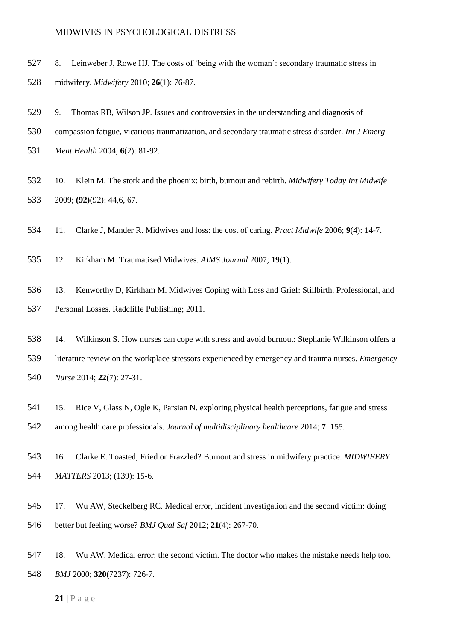- 8. Leinweber J, Rowe HJ. The costs of 'being with the woman': secondary traumatic stress in midwifery. *Midwifery* 2010; **26**(1): 76-87.
- 9. Thomas RB, Wilson JP. Issues and controversies in the understanding and diagnosis of compassion fatigue, vicarious traumatization, and secondary traumatic stress disorder. *Int J Emerg Ment Health* 2004; **6**(2): 81-92.
- 10. Klein M. The stork and the phoenix: birth, burnout and rebirth. *Midwifery Today Int Midwife*  2009; **(92)**(92): 44,6, 67.
- 11. Clarke J, Mander R. Midwives and loss: the cost of caring. *Pract Midwife* 2006; **9**(4): 14-7.
- 12. Kirkham M. Traumatised Midwives. *AIMS Journal* 2007; **19**(1).
- 13. Kenworthy D, Kirkham M. Midwives Coping with Loss and Grief: Stillbirth, Professional, and Personal Losses. Radcliffe Publishing; 2011.
- 14. Wilkinson S. How nurses can cope with stress and avoid burnout: Stephanie Wilkinson offers a literature review on the workplace stressors experienced by emergency and trauma nurses. *Emergency Nurse* 2014; **22**(7): 27-31.
- 15. Rice V, Glass N, Ogle K, Parsian N. exploring physical health perceptions, fatigue and stress among health care professionals. *Journal of multidisciplinary healthcare* 2014; **7**: 155.
- 16. Clarke E. Toasted, Fried or Frazzled? Burnout and stress in midwifery practice. *MIDWIFERY MATTERS* 2013; (139): 15-6.
- 17. Wu AW, Steckelberg RC. Medical error, incident investigation and the second victim: doing better but feeling worse? *BMJ Qual Saf* 2012; **21**(4): 267-70.
- 18. Wu AW. Medical error: the second victim. The doctor who makes the mistake needs help too. *BMJ* 2000; **320**(7237): 726-7.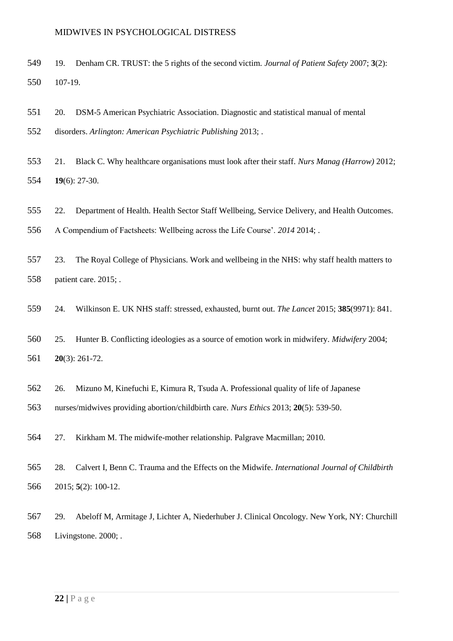- 19. Denham CR. TRUST: the 5 rights of the second victim. *Journal of Patient Safety* 2007; **3**(2): 107-19.
- 20. DSM-5 American Psychiatric Association. Diagnostic and statistical manual of mental disorders. *Arlington: American Psychiatric Publishing* 2013; .
- 21. Black C. Why healthcare organisations must look after their staff. *Nurs Manag (Harrow)* 2012; **19**(6): 27-30.
- 22. Department of Health. Health Sector Staff Wellbeing, Service Delivery, and Health Outcomes.
- A Compendium of Factsheets: Wellbeing across the Life Course'. *2014* 2014; .
- 23. The Royal College of Physicians. Work and wellbeing in the NHS: why staff health matters to patient care. 2015; .
- 24. Wilkinson E. UK NHS staff: stressed, exhausted, burnt out. *The Lancet* 2015; **385**(9971): 841.
- 25. Hunter B. Conflicting ideologies as a source of emotion work in midwifery. *Midwifery* 2004; **20**(3): 261-72.
- 26. Mizuno M, Kinefuchi E, Kimura R, Tsuda A. Professional quality of life of Japanese
- nurses/midwives providing abortion/childbirth care. *Nurs Ethics* 2013; **20**(5): 539-50.
- 27. Kirkham M. The midwife-mother relationship. Palgrave Macmillan; 2010.
- 28. Calvert I, Benn C. Trauma and the Effects on the Midwife. *International Journal of Childbirth*  2015; **5**(2): 100-12.
- 29. Abeloff M, Armitage J, Lichter A, Niederhuber J. Clinical Oncology. New York, NY: Churchill Livingstone. 2000; .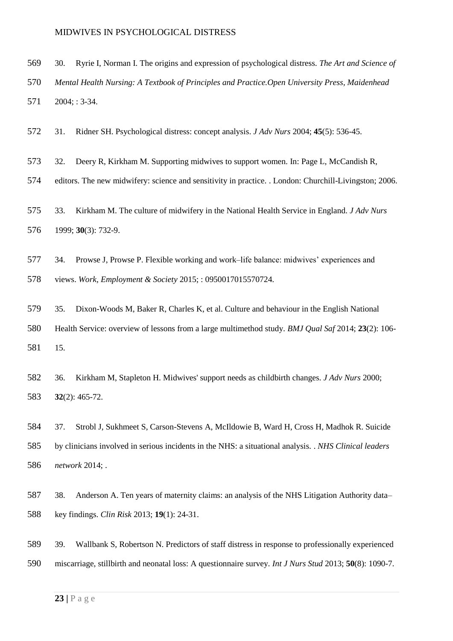- 30. Ryrie I, Norman I. The origins and expression of psychological distress. *The Art and Science of*
- *Mental Health Nursing: A Textbook of Principles and Practice.Open University Press, Maidenhead*
- 2004; : 3-34.
- 31. Ridner SH. Psychological distress: concept analysis. *J Adv Nurs* 2004; **45**(5): 536-45.
- 32. Deery R, Kirkham M. Supporting midwives to support women. In: Page L, McCandish R,
- editors. The new midwifery: science and sensitivity in practice. . London: Churchill-Livingston; 2006.
- 33. Kirkham M. The culture of midwifery in the National Health Service in England. *J Adv Nurs*  1999; **30**(3): 732-9.
- 34. Prowse J, Prowse P. Flexible working and work–life balance: midwives' experiences and views. *Work, Employment & Society* 2015; : 0950017015570724.
- 35. Dixon-Woods M, Baker R, Charles K, et al. Culture and behaviour in the English National Health Service: overview of lessons from a large multimethod study. *BMJ Qual Saf* 2014; **23**(2): 106- 15.
- 36. Kirkham M, Stapleton H. Midwives' support needs as childbirth changes. *J Adv Nurs* 2000; **32**(2): 465-72.
- 37. Strobl J, Sukhmeet S, Carson-Stevens A, McIldowie B, Ward H, Cross H, Madhok R. Suicide by clinicians involved in serious incidents in the NHS: a situational analysis. . *NHS Clinical leaders network* 2014; .
- 38. Anderson A. Ten years of maternity claims: an analysis of the NHS Litigation Authority data– key findings. *Clin Risk* 2013; **19**(1): 24-31.
- 39. Wallbank S, Robertson N. Predictors of staff distress in response to professionally experienced miscarriage, stillbirth and neonatal loss: A questionnaire survey. *Int J Nurs Stud* 2013; **50**(8): 1090-7.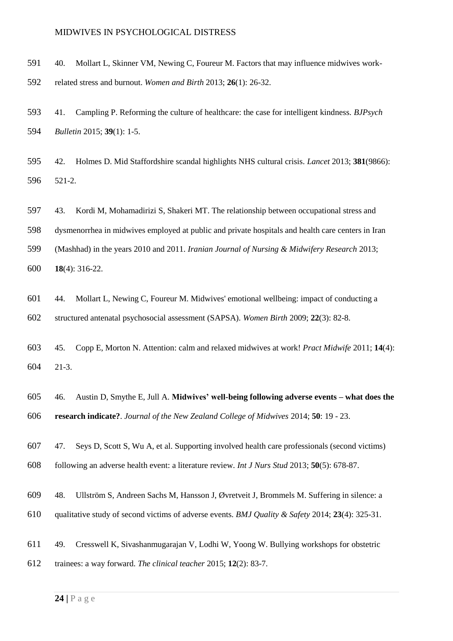- 40. Mollart L, Skinner VM, Newing C, Foureur M. Factors that may influence midwives work-
- related stress and burnout. *Women and Birth* 2013; **26**(1): 26-32.
- 41. Campling P. Reforming the culture of healthcare: the case for intelligent kindness. *BJPsych Bulletin* 2015; **39**(1): 1-5.
- 42. Holmes D. Mid Staffordshire scandal highlights NHS cultural crisis. *Lancet* 2013; **381**(9866): 521-2.
- 43. Kordi M, Mohamadirizi S, Shakeri MT. The relationship between occupational stress and
- dysmenorrhea in midwives employed at public and private hospitals and health care centers in Iran
- (Mashhad) in the years 2010 and 2011. *Iranian Journal of Nursing & Midwifery Research* 2013;
- **18**(4): 316-22.
- 44. Mollart L, Newing C, Foureur M. Midwives' emotional wellbeing: impact of conducting a structured antenatal psychosocial assessment (SAPSA). *Women Birth* 2009; **22**(3): 82-8.
- 45. Copp E, Morton N. Attention: calm and relaxed midwives at work! *Pract Midwife* 2011; **14**(4): 21-3.
- 46. Austin D, Smythe E, Jull A. **Midwives' well-being following adverse events – what does the research indicate?**. *Journal of the New Zealand College of Midwives* 2014; **50**: 19 - 23.
- 47. Seys D, Scott S, Wu A, et al. Supporting involved health care professionals (second victims) following an adverse health event: a literature review. *Int J Nurs Stud* 2013; **50**(5): 678-87.
- 48. Ullström S, Andreen Sachs M, Hansson J, Øvretveit J, Brommels M. Suffering in silence: a
- qualitative study of second victims of adverse events. *BMJ Quality & Safety* 2014; **23**(4): 325-31.
- 49. Cresswell K, Sivashanmugarajan V, Lodhi W, Yoong W. Bullying workshops for obstetric
- trainees: a way forward. *The clinical teacher* 2015; **12**(2): 83-7.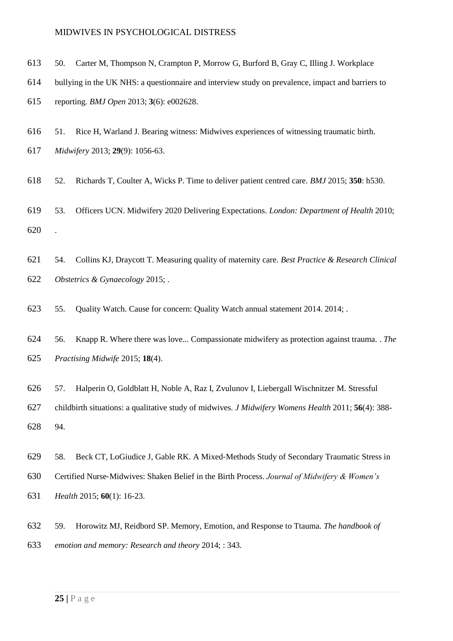- 50. Carter M, Thompson N, Crampton P, Morrow G, Burford B, Gray C, Illing J. Workplace
- bullying in the UK NHS: a questionnaire and interview study on prevalence, impact and barriers to

reporting. *BMJ Open* 2013; **3**(6): e002628.

51. Rice H, Warland J. Bearing witness: Midwives experiences of witnessing traumatic birth.

*Midwifery* 2013; **29**(9): 1056-63.

- 52. Richards T, Coulter A, Wicks P. Time to deliver patient centred care. *BMJ* 2015; **350**: h530.
- 53. Officers UCN. Midwifery 2020 Delivering Expectations. *London: Department of Health* 2010; .
- 54. Collins KJ, Draycott T. Measuring quality of maternity care. *Best Practice & Research Clinical Obstetrics & Gynaecology* 2015; .
- 55. Quality Watch. Cause for concern: Quality Watch annual statement 2014. 2014; .
- 56. Knapp R. Where there was love... Compassionate midwifery as protection against trauma. . *The Practising Midwife* 2015; **18**(4).
- 57. Halperin O, Goldblatt H, Noble A, Raz I, Zvulunov I, Liebergall Wischnitzer M. Stressful

 childbirth situations: a qualitative study of midwives. *J Midwifery Womens Health* 2011; **56**(4): 388- 94.

- 58. Beck CT, LoGiudice J, Gable RK. A Mixed‐Methods Study of Secondary Traumatic Stress in
- Certified Nurse‐Midwives: Shaken Belief in the Birth Process. *Journal of Midwifery & Women's*
- *Health* 2015; **60**(1): 16-23.
- 59. Horowitz MJ, Reidbord SP. Memory, Emotion, and Response to Ttauma. *The handbook of emotion and memory: Research and theory* 2014; : 343.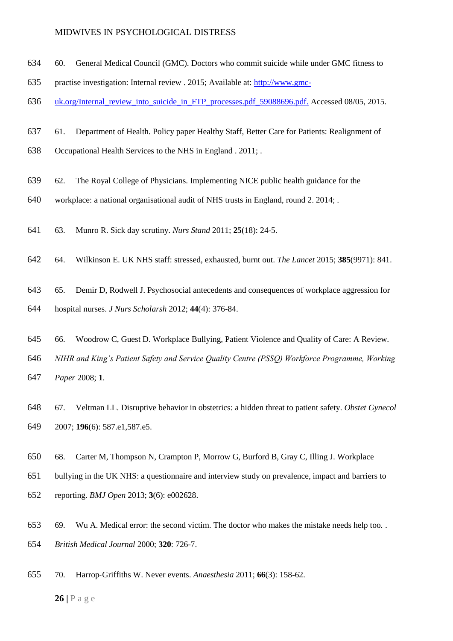- 60. General Medical Council (GMC). Doctors who commit suicide while under GMC fitness to
- practise investigation: Internal review . 2015; Available at: [http://www.gmc-](http://www.gmc-uk.org/Internal_review_into_suicide_in_FTP_processes.pdf_59088696.pdf.)
- 636 uk.org/Internal review into suicide in FTP processes.pdf 59088696.pdf. Accessed 08/05, 2015.
- 61. Department of Health. Policy paper Healthy Staff, Better Care for Patients: Realignment of
- Occupational Health Services to the NHS in England . 2011; .
- 62. The Royal College of Physicians. Implementing NICE public health guidance for the
- workplace: a national organisational audit of NHS trusts in England, round 2. 2014; .
- 63. Munro R. Sick day scrutiny. *Nurs Stand* 2011; **25**(18): 24-5.
- 64. Wilkinson E. UK NHS staff: stressed, exhausted, burnt out. *The Lancet* 2015; **385**(9971): 841.
- 65. Demir D, Rodwell J. Psychosocial antecedents and consequences of workplace aggression for hospital nurses. *J Nurs Scholarsh* 2012; **44**(4): 376-84.
- 66. Woodrow C, Guest D. Workplace Bullying, Patient Violence and Quality of Care: A Review.
- *NIHR and King's Patient Safety and Service Quality Centre (PSSQ) Workforce Programme, Working*
- *Paper* 2008; **1**.
- 67. Veltman LL. Disruptive behavior in obstetrics: a hidden threat to patient safety. *Obstet Gynecol*  2007; **196**(6): 587.e1,587.e5.
- 68. Carter M, Thompson N, Crampton P, Morrow G, Burford B, Gray C, Illing J. Workplace
- bullying in the UK NHS: a questionnaire and interview study on prevalence, impact and barriers to
- reporting. *BMJ Open* 2013; **3**(6): e002628.
- 69. Wu A. Medical error: the second victim. The doctor who makes the mistake needs help too. . *British Medical Journal* 2000; **320**: 726-7.
- 70. Harrop‐Griffiths W. Never events. *Anaesthesia* 2011; **66**(3): 158-62.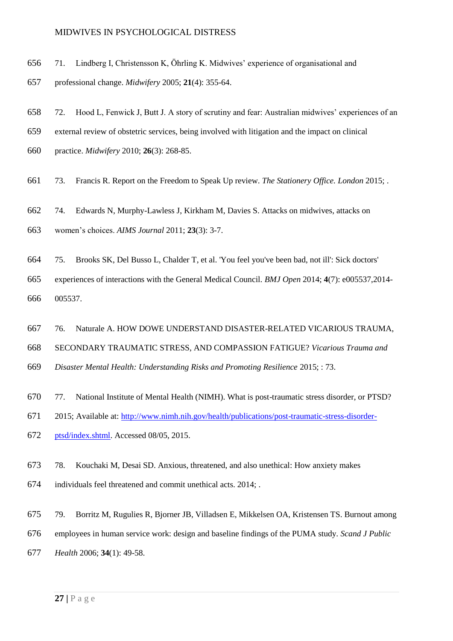- 71. Lindberg I, Christensson K, Öhrling K. Midwives' experience of organisational and
- professional change. *Midwifery* 2005; **21**(4): 355-64.
- 72. Hood L, Fenwick J, Butt J. A story of scrutiny and fear: Australian midwives' experiences of an
- external review of obstetric services, being involved with litigation and the impact on clinical
- practice. *Midwifery* 2010; **26**(3): 268-85.
- 73. Francis R. Report on the Freedom to Speak Up review. *The Stationery Office. London* 2015; .
- 74. Edwards N, Murphy-Lawless J, Kirkham M, Davies S. Attacks on midwives, attacks on
- women's choices. *AIMS Journal* 2011; **23**(3): 3-7.
- 75. Brooks SK, Del Busso L, Chalder T, et al. 'You feel you've been bad, not ill': Sick doctors'
- experiences of interactions with the General Medical Council. *BMJ Open* 2014; **4**(7): e005537,2014- 005537.
- 76. Naturale A. HOW DOWE UNDERSTAND DISASTER-RELATED VICARIOUS TRAUMA,
- SECONDARY TRAUMATIC STRESS, AND COMPASSION FATIGUE? *Vicarious Trauma and*
- *Disaster Mental Health: Understanding Risks and Promoting Resilience* 2015; : 73.
- 77. National Institute of Mental Health (NIMH). What is post-traumatic stress disorder, or PTSD?
- 2015; Available at: [http://www.nimh.nih.gov/health/publications/post-traumatic-stress-disorder-](http://www.nimh.nih.gov/health/publications/post-traumatic-stress-disorder-ptsd/index.shtml)
- [ptsd/index.shtml.](http://www.nimh.nih.gov/health/publications/post-traumatic-stress-disorder-ptsd/index.shtml) Accessed 08/05, 2015.
- 78. Kouchaki M, Desai SD. Anxious, threatened, and also unethical: How anxiety makes
- individuals feel threatened and commit unethical acts. 2014; .
- 79. Borritz M, Rugulies R, Bjorner JB, Villadsen E, Mikkelsen OA, Kristensen TS. Burnout among
- employees in human service work: design and baseline findings of the PUMA study. *Scand J Public*
- *Health* 2006; **34**(1): 49-58.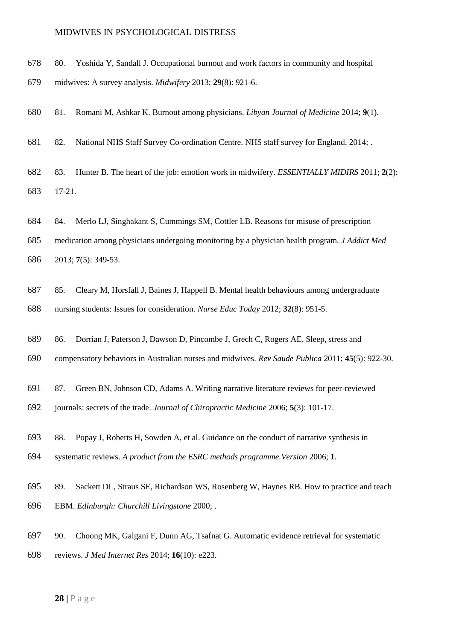- 80. Yoshida Y, Sandall J. Occupational burnout and work factors in community and hospital
- midwives: A survey analysis. *Midwifery* 2013; **29**(8): 921-6.
- 81. Romani M, Ashkar K. Burnout among physicians. *Libyan Journal of Medicine* 2014; **9**(1).
- 82. National NHS Staff Survey Co-ordination Centre. NHS staff survey for England. 2014; .
- 83. Hunter B. The heart of the job: emotion work in midwifery. *ESSENTIALLY MIDIRS* 2011; **2**(2): 17-21.
- 84. Merlo LJ, Singhakant S, Cummings SM, Cottler LB. Reasons for misuse of prescription
- medication among physicians undergoing monitoring by a physician health program. *J Addict Med*  2013; **7**(5): 349-53.
- 85. Cleary M, Horsfall J, Baines J, Happell B. Mental health behaviours among undergraduate nursing students: Issues for consideration. *Nurse Educ Today* 2012; **32**(8): 951-5.
- 86. Dorrian J, Paterson J, Dawson D, Pincombe J, Grech C, Rogers AE. Sleep, stress and
- compensatory behaviors in Australian nurses and midwives. *Rev Saude Publica* 2011; **45**(5): 922-30.
- 87. Green BN, Johnson CD, Adams A. Writing narrative literature reviews for peer-reviewed
- journals: secrets of the trade. *Journal of Chiropractic Medicine* 2006; **5**(3): 101-17.
- 88. Popay J, Roberts H, Sowden A, et al. Guidance on the conduct of narrative synthesis in
- systematic reviews. *A product from the ESRC methods programme.Version* 2006; **1**.
- 89. Sackett DL, Straus SE, Richardson WS, Rosenberg W, Haynes RB. How to practice and teach EBM. *Edinburgh: Churchill Livingstone* 2000; .
- 90. Choong MK, Galgani F, Dunn AG, Tsafnat G. Automatic evidence retrieval for systematic
- reviews. *J Med Internet Res* 2014; **16**(10): e223.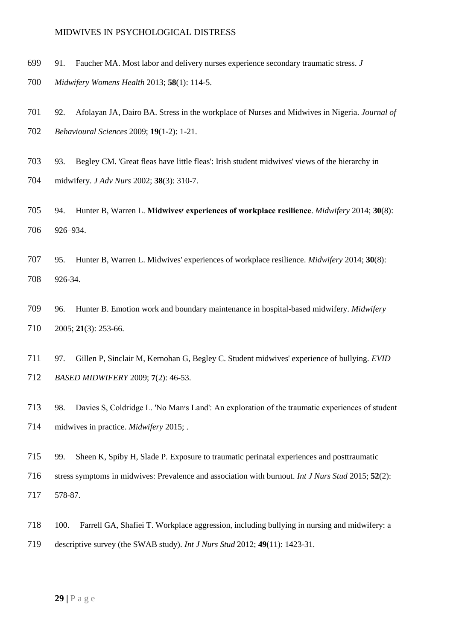- 91. Faucher MA. Most labor and delivery nurses experience secondary traumatic stress. *J*
- *Midwifery Womens Health* 2013; **58**(1): 114-5.
- 92. Afolayan JA, Dairo BA. Stress in the workplace of Nurses and Midwives in Nigeria. *Journal of Behavioural Sciences* 2009; **19**(1-2): 1-21.
- 93. Begley CM. 'Great fleas have little fleas': Irish student midwives' views of the hierarchy in
- midwifery. *J Adv Nurs* 2002; **38**(3): 310-7.
- 94. Hunter B, Warren L. **Midwives׳ experiences of workplace resilience**. *Midwifery* 2014; **30**(8): 926–934.
- 95. Hunter B, Warren L. Midwives' experiences of workplace resilience. *Midwifery* 2014; **30**(8): 926-34.
- 96. Hunter B. Emotion work and boundary maintenance in hospital-based midwifery. *Midwifery*  2005; **21**(3): 253-66.
- 97. Gillen P, Sinclair M, Kernohan G, Begley C. Student midwives' experience of bullying. *EVID BASED MIDWIFERY* 2009; **7**(2): 46-53.
- 98. Davies S, Coldridge L. 'No Man׳s Land': An exploration of the traumatic experiences of student midwives in practice. *Midwifery* 2015; .
- 99. Sheen K, Spiby H, Slade P. Exposure to traumatic perinatal experiences and posttraumatic
- stress symptoms in midwives: Prevalence and association with burnout. *Int J Nurs Stud* 2015; **52**(2):
- 578-87.
- 100. Farrell GA, Shafiei T. Workplace aggression, including bullying in nursing and midwifery: a descriptive survey (the SWAB study). *Int J Nurs Stud* 2012; **49**(11): 1423-31.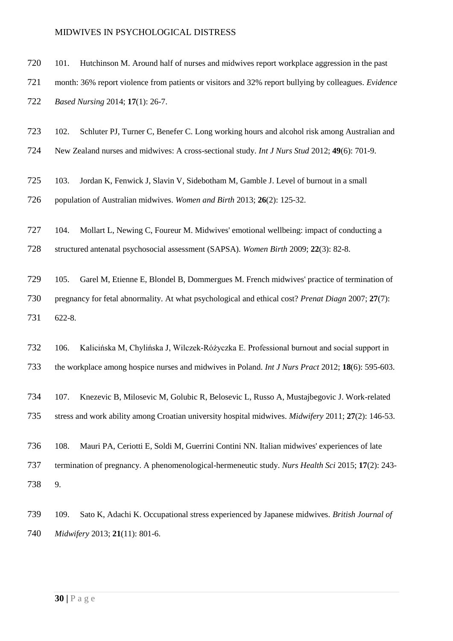| 720 | 101.                                                                                                 | Hutchinson M. Around half of nurses and midwives report workplace aggression in the past                      |  |
|-----|------------------------------------------------------------------------------------------------------|---------------------------------------------------------------------------------------------------------------|--|
| 721 | month: 36% report violence from patients or visitors and 32% report bullying by colleagues. Evidence |                                                                                                               |  |
| 722 |                                                                                                      | Based Nursing 2014; 17(1): 26-7.                                                                              |  |
| 723 | 102.                                                                                                 | Schluter PJ, Turner C, Benefer C. Long working hours and alcohol risk among Australian and                    |  |
| 724 |                                                                                                      | New Zealand nurses and midwives: A cross-sectional study. <i>Int J Nurs Stud</i> 2012; 49(6): 701-9.          |  |
| 725 | 103.                                                                                                 | Jordan K, Fenwick J, Slavin V, Sidebotham M, Gamble J. Level of burnout in a small                            |  |
| 726 |                                                                                                      | population of Australian midwives. Women and Birth 2013; 26(2): 125-32.                                       |  |
| 727 | 104.                                                                                                 | Mollart L, Newing C, Foureur M. Midwives' emotional wellbeing: impact of conducting a                         |  |
| 728 |                                                                                                      | structured antenatal psychosocial assessment (SAPSA). Women Birth 2009; 22(3): 82-8.                          |  |
| 729 | 105.                                                                                                 | Garel M, Etienne E, Blondel B, Dommergues M. French midwives' practice of termination of                      |  |
| 730 | pregnancy for fetal abnormality. At what psychological and ethical cost? Prenat Diagn 2007; 27(7):   |                                                                                                               |  |
| 731 | 622-8.                                                                                               |                                                                                                               |  |
| 732 | 106.                                                                                                 | Kalicińska M, Chylińska J, Wilczek-Różyczka E. Professional burnout and social support in                     |  |
| 733 |                                                                                                      | the workplace among hospice nurses and midwives in Poland. Int J Nurs Pract 2012; 18(6): 595-603.             |  |
| 734 | 107.                                                                                                 | Knezevic B, Milosevic M, Golubic R, Belosevic L, Russo A, Mustajbegovic J. Work-related                       |  |
| 735 |                                                                                                      | stress and work ability among Croatian university hospital midwives. <i>Midwifery</i> 2011; $27(2)$ : 146-53. |  |
| 736 | 108.                                                                                                 | Mauri PA, Ceriotti E, Soldi M, Guerrini Contini NN. Italian midwives' experiences of late                     |  |
| 737 | termination of pregnancy. A phenomenological-hermeneutic study. Nurs Health Sci 2015; 17(2): 243-    |                                                                                                               |  |
| 738 | 9.                                                                                                   |                                                                                                               |  |
| 739 | 109.                                                                                                 | Sato K, Adachi K. Occupational stress experienced by Japanese midwives. British Journal of                    |  |
| 740 | Midwifery 2013; 21(11): 801-6.                                                                       |                                                                                                               |  |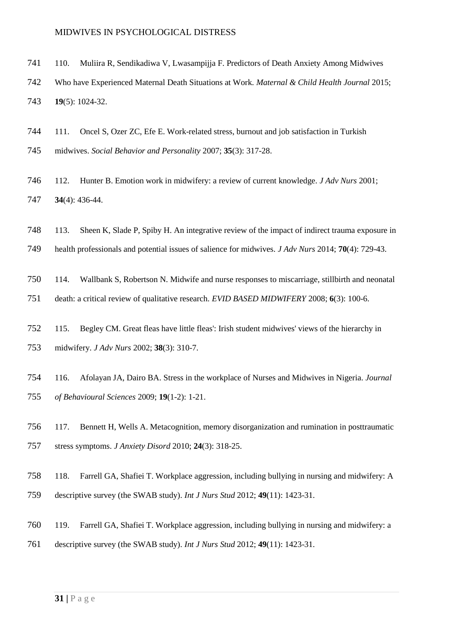- 110. Muliira R, Sendikadiwa V, Lwasampijja F. Predictors of Death Anxiety Among Midwives
- Who have Experienced Maternal Death Situations at Work. *Maternal & Child Health Journal* 2015; **19**(5): 1024-32.
- 111. Oncel S, Ozer ZC, Efe E. Work-related stress, burnout and job satisfaction in Turkish midwives. *Social Behavior and Personality* 2007; **35**(3): 317-28.
- 112. Hunter B. Emotion work in midwifery: a review of current knowledge. *J Adv Nurs* 2001; **34**(4): 436-44.
- 113. Sheen K, Slade P, Spiby H. An integrative review of the impact of indirect trauma exposure in
- health professionals and potential issues of salience for midwives. *J Adv Nurs* 2014; **70**(4): 729-43.
- 114. Wallbank S, Robertson N. Midwife and nurse responses to miscarriage, stillbirth and neonatal death: a critical review of qualitative research. *EVID BASED MIDWIFERY* 2008; **6**(3): 100-6.
- 115. Begley CM. Great fleas have little fleas': Irish student midwives' views of the hierarchy in midwifery. *J Adv Nurs* 2002; **38**(3): 310-7.
- 116. Afolayan JA, Dairo BA. Stress in the workplace of Nurses and Midwives in Nigeria. *Journal of Behavioural Sciences* 2009; **19**(1-2): 1-21.
- 117. Bennett H, Wells A. Metacognition, memory disorganization and rumination in posttraumatic stress symptoms. *J Anxiety Disord* 2010; **24**(3): 318-25.
- 118. Farrell GA, Shafiei T. Workplace aggression, including bullying in nursing and midwifery: A
- descriptive survey (the SWAB study). *Int J Nurs Stud* 2012; **49**(11): 1423-31.
- 119. Farrell GA, Shafiei T. Workplace aggression, including bullying in nursing and midwifery: a descriptive survey (the SWAB study). *Int J Nurs Stud* 2012; **49**(11): 1423-31.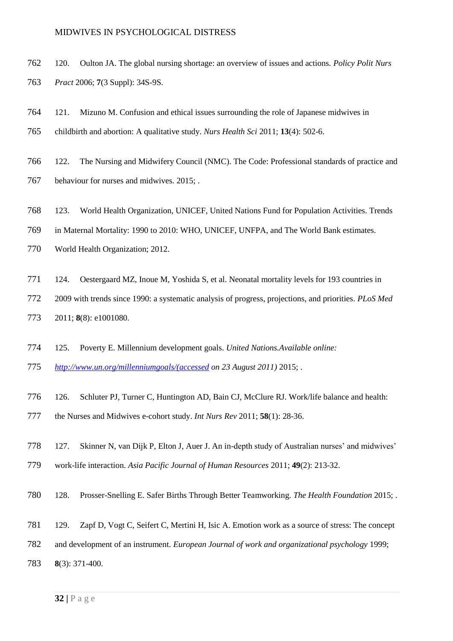- 120. Oulton JA. The global nursing shortage: an overview of issues and actions. *Policy Polit Nurs Pract* 2006; **7**(3 Suppl): 34S-9S.
- 121. Mizuno M. Confusion and ethical issues surrounding the role of Japanese midwives in childbirth and abortion: A qualitative study. *Nurs Health Sci* 2011; **13**(4): 502-6.
- 122. The Nursing and Midwifery Council (NMC). The Code: Professional standards of practice and behaviour for nurses and midwives. 2015; .
- 123. World Health Organization, UNICEF, United Nations Fund for Population Activities. Trends
- in Maternal Mortality: 1990 to 2010: WHO, UNICEF, UNFPA, and The World Bank estimates.
- World Health Organization; 2012.
- 124. Oestergaard MZ, Inoue M, Yoshida S, et al. Neonatal mortality levels for 193 countries in
- 2009 with trends since 1990: a systematic analysis of progress, projections, and priorities. *PLoS Med*  2011; **8**(8): e1001080.
- 125. Poverty E. Millennium development goals. *United Nations.Available online:*
- *[http://www.un.org/millenniumgoals/\(accessed](http://www.un.org/millenniumgoals/(accessed) on 23 August 2011)* 2015; .
- 126. Schluter PJ, Turner C, Huntington AD, Bain CJ, McClure RJ. Work/life balance and health:
- the Nurses and Midwives e-cohort study. *Int Nurs Rev* 2011; **58**(1): 28-36.
- 127. Skinner N, van Dijk P, Elton J, Auer J. An in-depth study of Australian nurses' and midwives'
- work-life interaction. *Asia Pacific Journal of Human Resources* 2011; **49**(2): 213-32.
- 128. Prosser-Snelling E. Safer Births Through Better Teamworking. *The Health Foundation* 2015; .
- 129. Zapf D, Vogt C, Seifert C, Mertini H, Isic A. Emotion work as a source of stress: The concept
- and development of an instrument. *European Journal of work and organizational psychology* 1999;
- **8**(3): 371-400.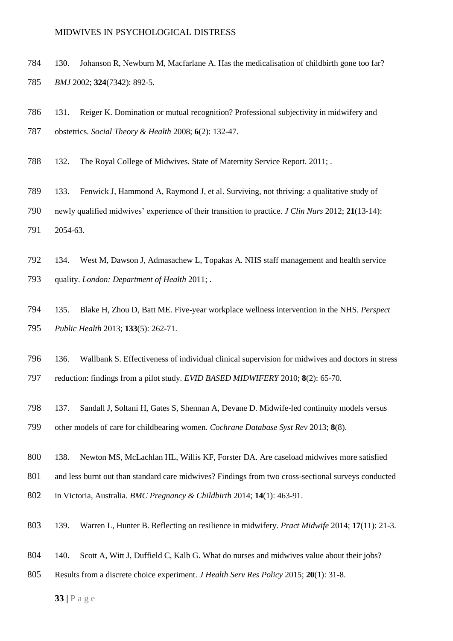- 130. Johanson R, Newburn M, Macfarlane A. Has the medicalisation of childbirth gone too far? *BMJ* 2002; **324**(7342): 892-5.
- 131. Reiger K. Domination or mutual recognition? Professional subjectivity in midwifery and obstetrics. *Social Theory & Health* 2008; **6**(2): 132-47.
- 132. The Royal College of Midwives. State of Maternity Service Report. 2011; .
- 133. Fenwick J, Hammond A, Raymond J, et al. Surviving, not thriving: a qualitative study of newly qualified midwives' experience of their transition to practice. *J Clin Nurs* 2012; **21**(13‐14): 2054-63.
- 134. West M, Dawson J, Admasachew L, Topakas A. NHS staff management and health service quality. *London: Department of Health* 2011; .
- 135. Blake H, Zhou D, Batt ME. Five-year workplace wellness intervention in the NHS. *Perspect Public Health* 2013; **133**(5): 262-71.
- 136. Wallbank S. Effectiveness of individual clinical supervision for midwives and doctors in stress
- reduction: findings from a pilot study. *EVID BASED MIDWIFERY* 2010; **8**(2): 65-70.
- 137. Sandall J, Soltani H, Gates S, Shennan A, Devane D. Midwife-led continuity models versus other models of care for childbearing women. *Cochrane Database Syst Rev* 2013; **8**(8).
- 138. Newton MS, McLachlan HL, Willis KF, Forster DA. Are caseload midwives more satisfied
- and less burnt out than standard care midwives? Findings from two cross-sectional surveys conducted
- in Victoria, Australia. *BMC Pregnancy & Childbirth* 2014; **14**(1): 463-91.
- 139. Warren L, Hunter B. Reflecting on resilience in midwifery. *Pract Midwife* 2014; **17**(11): 21-3.
- 140. Scott A, Witt J, Duffield C, Kalb G. What do nurses and midwives value about their jobs?
- Results from a discrete choice experiment. *J Health Serv Res Policy* 2015; **20**(1): 31-8.